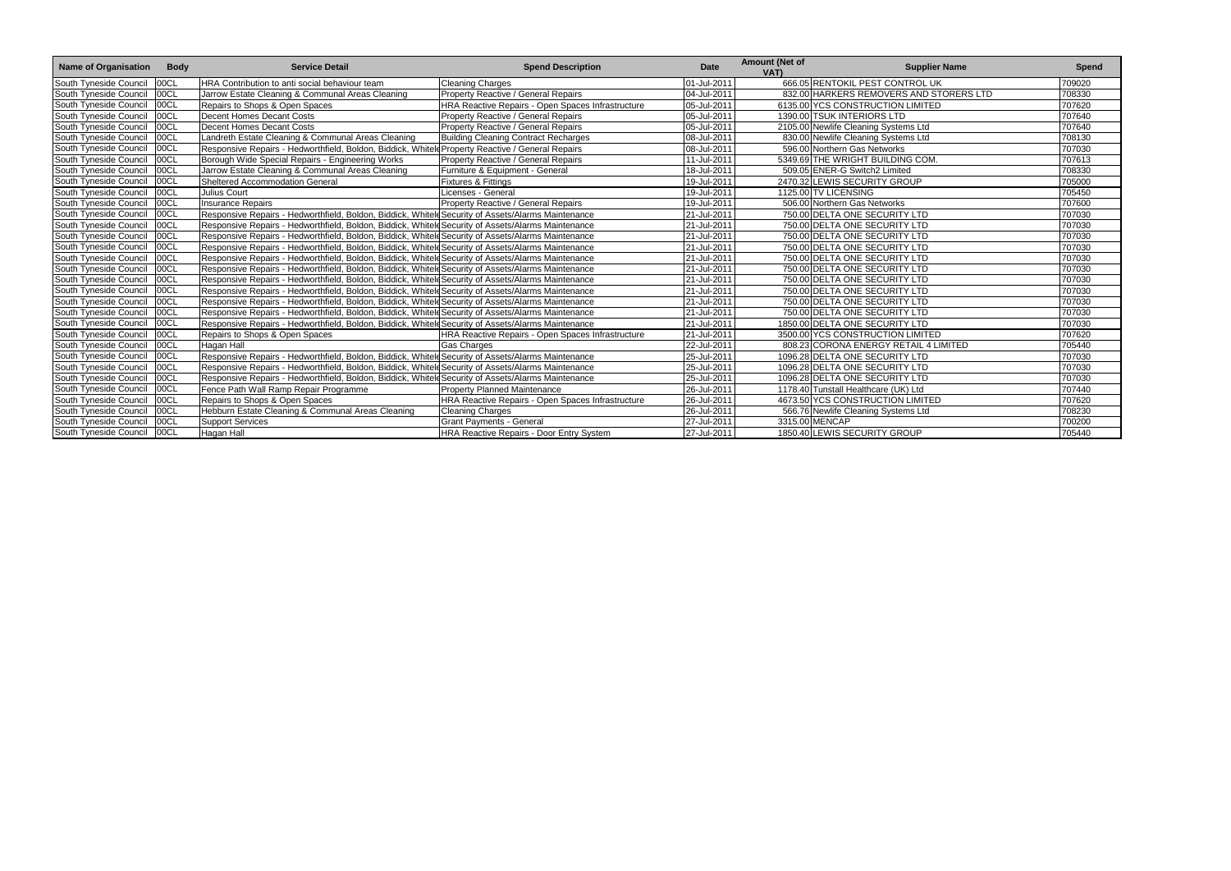| Name of Organisation   | <b>Body</b> | <b>Service Detail</b>                                                                              | <b>Spend Description</b>                          | <b>Date</b> | <b>Amount (Net of</b><br>VAT) | <b>Supplier Name</b>                    | Spend  |
|------------------------|-------------|----------------------------------------------------------------------------------------------------|---------------------------------------------------|-------------|-------------------------------|-----------------------------------------|--------|
| South Tyneside Council | 00CL        | HRA Contribution to anti social behaviour team                                                     | <b>Cleaning Charges</b>                           | 01-Jul-2011 |                               | 666.05 RENTOKIL PEST CONTROL UK         | 709020 |
| South Tyneside Council | 00CL        | Jarrow Estate Cleaning & Communal Areas Cleaning                                                   | Property Reactive / General Repairs               | 04-Jul-2011 |                               | 832.00 HARKERS REMOVERS AND STORERS LTD | 708330 |
| South Tyneside Council | 00CL        | Repairs to Shops & Open Spaces                                                                     | HRA Reactive Repairs - Open Spaces Infrastructure | 05-Jul-2011 |                               | 6135.00 YCS CONSTRUCTION LIMITED        | 707620 |
| South Tyneside Council | 00CL        | <b>Decent Homes Decant Costs</b>                                                                   | Property Reactive / General Repairs               | 05-Jul-2011 |                               | 1390.00 TSUK INTERIORS LTD              | 707640 |
| South Tyneside Council | 00CL        | <b>Decent Homes Decant Costs</b>                                                                   | <b>Property Reactive / General Repairs</b>        | 05-Jul-2011 |                               | 2105.00 Newlife Cleaning Systems Ltd    | 707640 |
| South Tyneside Council | 00CL        | andreth Estate Cleaning & Communal Areas Cleaning                                                  | Building Cleaning Contract Recharges              | 08-Jul-2011 |                               | 830.00 Newlife Cleaning Systems Ltd     | 708130 |
| South Tyneside Council | 00CL        | Responsive Repairs - Hedworthfield, Boldon, Biddick, Whitele Property Reactive / General Repairs   |                                                   | 08-Jul-2011 |                               | 596.00 Northern Gas Networks            | 707030 |
| South Tyneside Council | 00CL        | Borough Wide Special Repairs - Engineering Works                                                   | Property Reactive / General Repairs               | 11-Jul-2011 |                               | 5349.69 THE WRIGHT BUILDING COM.        | 707613 |
| South Tyneside Council | 00CL        | Jarrow Estate Cleaning & Communal Areas Cleaning                                                   | Furniture & Equipment - General                   | 18-Jul-2011 |                               | 509.05 ENER-G Switch2 Limited           | 708330 |
| South Tyneside Council | 00CL        | Sheltered Accommodation General                                                                    | <b>Fixtures &amp; Fittings</b>                    | 19-Jul-2011 |                               | 2470.32 LEWIS SECURITY GROUP            | 705000 |
| South Tyneside Council | 00CL        | Julius Court                                                                                       | Licenses - General                                | 19-Jul-2011 |                               | 1125.00 TV LICENSING                    | 705450 |
| South Tyneside Council | 00CL        | <b>Insurance Repairs</b>                                                                           | <b>Property Reactive / General Repairs</b>        | 19-Jul-2011 |                               | 506.00 Northern Gas Networks            | 707600 |
| South Tyneside Council | 00CL        | Responsive Repairs - Hedworthfield, Boldon, Biddick, Whitele Security of Assets/Alarms Maintenance |                                                   | 21-Jul-2011 |                               | 750.00 DELTA ONE SECURITY LTD           | 707030 |
| South Tyneside Council | 00CL        | Responsive Repairs - Hedworthfield, Boldon, Biddick, Whiteld Security of Assets/Alarms Maintenance |                                                   | 21-Jul-2011 |                               | 750.00 DELTA ONE SECURITY LTD           | 707030 |
| South Tyneside Council | 00CL        | Responsive Repairs - Hedworthfield, Boldon, Biddick, Whitele Security of Assets/Alarms Maintenance |                                                   | 21-Jul-2011 |                               | 750.00 DELTA ONE SECURITY LTD           | 707030 |
| South Tyneside Council | 00C1        | Responsive Repairs - Hedworthfield, Boldon, Biddick, Whitele Security of Assets/Alarms Maintenance |                                                   | 21-Jul-2011 |                               | 750.00 DELTA ONE SECURITY LTD           | 707030 |
| South Tyneside Council | 00CL        | Responsive Repairs - Hedworthfield, Boldon, Biddick, Whiteld Security of Assets/Alarms Maintenance |                                                   | 21-Jul-2011 |                               | 750.00 DELTA ONE SECURITY LTD           | 707030 |
| South Tyneside Council | 00CL        | Responsive Repairs - Hedworthfield, Boldon, Biddick, Whiteld Security of Assets/Alarms Maintenance |                                                   | 21-Jul-2011 |                               | 750.00 DELTA ONE SECURITY LTD           | 707030 |
| South Tyneside Council | 00CL        | Responsive Repairs - Hedworthfield, Boldon, Biddick, Whitele Security of Assets/Alarms Maintenance |                                                   | 21-Jul-2011 |                               | 750.00 DELTA ONE SECURITY LTD           | 707030 |
| South Tyneside Council | 00CL        | Responsive Repairs - Hedworthfield, Boldon, Biddick, Whiteld Security of Assets/Alarms Maintenance |                                                   | 21-Jul-2011 |                               | 750.00 DELTA ONE SECURITY LTD           | 707030 |
| South Tyneside Council | 00CL        | Responsive Repairs - Hedworthfield, Boldon, Biddick, Whiteld Security of Assets/Alarms Maintenance |                                                   | 21-Jul-2011 |                               | 750.00 DELTA ONE SECURITY LTD           | 707030 |
| South Tyneside Council | 00CL        | Responsive Repairs - Hedworthfield, Boldon, Biddick, Whitele Security of Assets/Alarms Maintenance |                                                   | 21-Jul-2011 |                               | 750.00 DELTA ONE SECURITY LTD           | 707030 |
| South Tyneside Council | 00CL        | Responsive Repairs - Hedworthfield, Boldon, Biddick, Whitele Security of Assets/Alarms Maintenance |                                                   | 21-Jul-2011 |                               | 1850.00 DELTA ONE SECURITY LTD          | 707030 |
| South Tyneside Council | 00CL        | Repairs to Shops & Open Spaces                                                                     | HRA Reactive Repairs - Open Spaces Infrastructure | 21-Jul-2011 |                               | 3500.00 YCS CONSTRUCTION LIMITED        | 707620 |
| South Tyneside Council | 00CL        | Hagan Hall                                                                                         | <b>Gas Charges</b>                                | 22-Jul-2011 |                               | 808.23 CORONA ENERGY RETAIL 4 LIMITED   | 705440 |
| South Tyneside Council | 00CL        | Responsive Repairs - Hedworthfield, Boldon, Biddick, Whitele Security of Assets/Alarms Maintenance |                                                   | 25-Jul-2011 |                               | 1096.28 DELTA ONE SECURITY LTD          | 707030 |
| South Tyneside Council | 00CL        | Responsive Repairs - Hedworthfield, Boldon, Biddick, Whitele Security of Assets/Alarms Maintenance |                                                   | 25-Jul-2011 |                               | 1096.28 DELTA ONE SECURITY LTD          | 707030 |
| South Tyneside Council | 00CL        | Responsive Repairs - Hedworthfield, Boldon, Biddick, Whiteld Security of Assets/Alarms Maintenance |                                                   | 25-Jul-2011 |                               | 1096.28 DELTA ONE SECURITY LTD          | 707030 |
| South Tyneside Council | 00CL        | Fence Path Wall Ramp Repair Programme                                                              | <b>Property Planned Maintenance</b>               | 26-Jul-2011 |                               | 1178.40 Tunstall Healthcare (UK) Ltd    | 707440 |
| South Tyneside Council | 00CL        | Repairs to Shops & Open Spaces                                                                     | HRA Reactive Repairs - Open Spaces Infrastructure | 26-Jul-2011 |                               | 4673.50 YCS CONSTRUCTION LIMITED        | 707620 |
| South Tyneside Council | 00CL        | Hebburn Estate Cleaning & Communal Areas Cleaning                                                  | <b>Cleaning Charges</b>                           | 26-Jul-2011 |                               | 566.76 Newlife Cleaning Systems Ltd     | 708230 |
| South Tyneside Council | 00CL        | <b>Support Services</b>                                                                            | <b>Grant Payments - General</b>                   | 27-Jul-2011 |                               | 3315.00 MENCAP                          | 700200 |
| South Tyneside Council | 00CL        | Hagan Hall                                                                                         | <b>HRA Reactive Repairs - Door Entry System</b>   | 27-Jul-2011 |                               | 1850.40 LEWIS SECURITY GROUP            | 705440 |